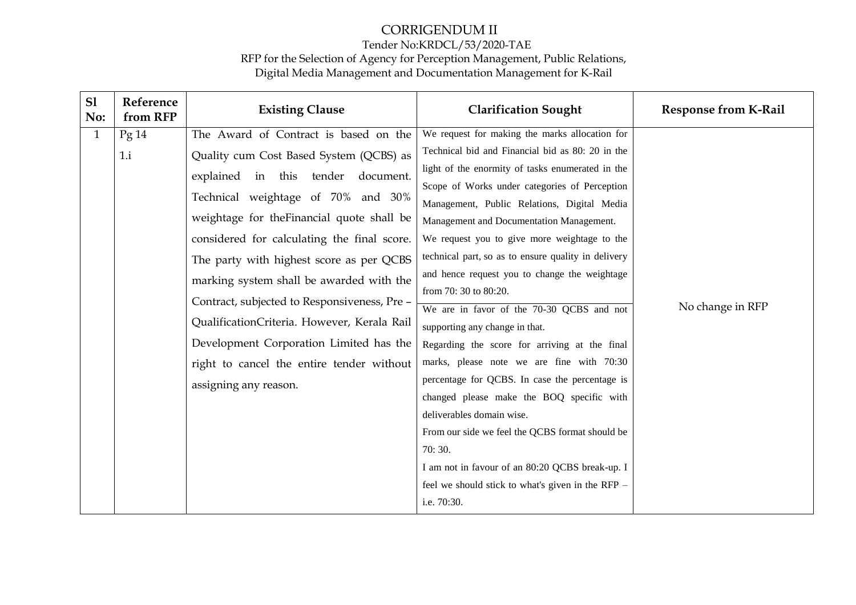| S1<br>No:    | Reference<br>from RFP | <b>Existing Clause</b>                      | <b>Clarification Sought</b>                         | <b>Response from K-Rail</b> |
|--------------|-----------------------|---------------------------------------------|-----------------------------------------------------|-----------------------------|
| $\mathbf{1}$ | Pg14                  | The Award of Contract is based on the       | We request for making the marks allocation for      |                             |
|              | 1.i                   | Quality cum Cost Based System (QCBS) as     | Technical bid and Financial bid as 80: 20 in the    |                             |
|              |                       | explained in this tender<br>document.       | light of the enormity of tasks enumerated in the    |                             |
|              |                       | Technical weightage of 70% and 30%          | Scope of Works under categories of Perception       |                             |
|              |                       |                                             | Management, Public Relations, Digital Media         |                             |
|              |                       | weightage for the Financial quote shall be  | Management and Documentation Management.            |                             |
|              |                       | considered for calculating the final score. | We request you to give more weightage to the        |                             |
|              |                       | The party with highest score as per QCBS    | technical part, so as to ensure quality in delivery |                             |
|              |                       | marking system shall be awarded with the    | and hence request you to change the weightage       |                             |
|              |                       | Contract, subjected to Responsiveness, Pre- | from 70: 30 to 80:20.                               |                             |
|              |                       |                                             | We are in favor of the 70-30 QCBS and not           | No change in RFP            |
|              |                       | QualificationCriteria. However, Kerala Rail | supporting any change in that.                      |                             |
|              |                       | Development Corporation Limited has the     | Regarding the score for arriving at the final       |                             |
|              |                       | right to cancel the entire tender without   | marks, please note we are fine with 70:30           |                             |
|              |                       | assigning any reason.                       | percentage for QCBS. In case the percentage is      |                             |
|              |                       |                                             | changed please make the BOQ specific with           |                             |
|              |                       |                                             | deliverables domain wise.                           |                             |
|              |                       |                                             | From our side we feel the QCBS format should be     |                             |
|              |                       |                                             | 70:30.                                              |                             |
|              |                       |                                             | I am not in favour of an 80:20 QCBS break-up. I     |                             |
|              |                       |                                             | feel we should stick to what's given in the RFP -   |                             |
|              |                       |                                             | i.e. 70:30.                                         |                             |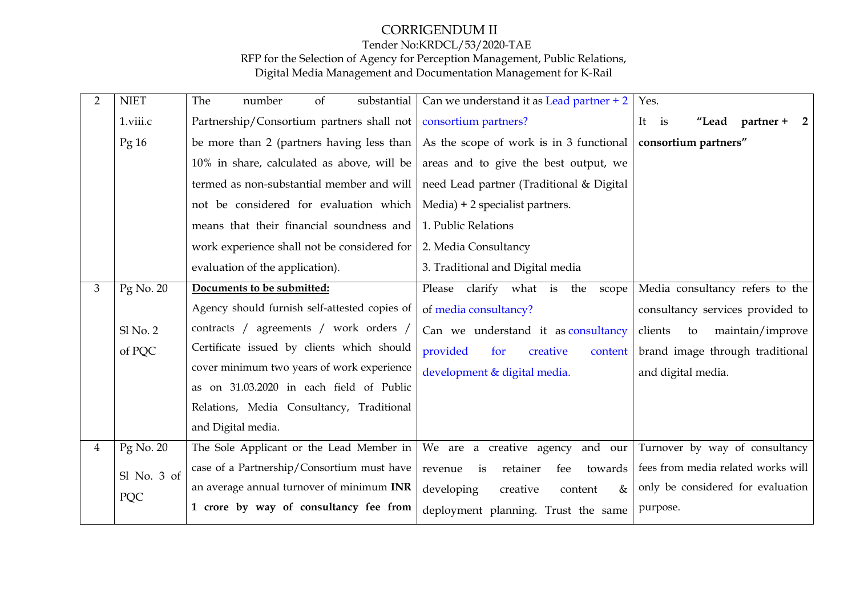# CORRIGENDUM II

# Tender No:KRDCL/53/2020-TAE

RFP for the Selection of Agency for Perception Management, Public Relations, Digital Media Management and Documentation Management for K-Rail

| $\overline{2}$ | <b>NIET</b>      | substantial<br>The<br>number<br>of            | Can we understand it as Lead partner + 2    | Yes.                                                   |
|----------------|------------------|-----------------------------------------------|---------------------------------------------|--------------------------------------------------------|
|                | 1.viii.c         | Partnership/Consortium partners shall not     | consortium partners?                        | It is<br>$"$ Lead partner +<br>$\overline{\mathbf{2}}$ |
|                | Pg <sub>16</sub> | be more than 2 (partners having less than     | As the scope of work is in 3 functional     | consortium partners"                                   |
|                |                  | 10% in share, calculated as above, will be    | areas and to give the best output, we       |                                                        |
|                |                  | termed as non-substantial member and will     | need Lead partner (Traditional & Digital    |                                                        |
|                |                  | not be considered for evaluation which        | $Media) + 2 specialist partners.$           |                                                        |
|                |                  | means that their financial soundness and      | 1. Public Relations                         |                                                        |
|                |                  | work experience shall not be considered for   | 2. Media Consultancy                        |                                                        |
|                |                  | evaluation of the application).               | 3. Traditional and Digital media            |                                                        |
| 3              | Pg No. 20        | Documents to be submitted:                    | clarify what is<br>Please<br>the<br>scope   | Media consultancy refers to the                        |
|                |                  | Agency should furnish self-attested copies of | of media consultancy?                       | consultancy services provided to                       |
|                | $Sl$ No. $2$     | contracts / agreements / work orders /        | Can we understand it as consultancy         | clients<br>maintain/improve<br>to                      |
|                | of PQC           | Certificate issued by clients which should    | provided<br>for<br>creative<br>content      | brand image through traditional                        |
|                |                  | cover minimum two years of work experience    | development & digital media.                | and digital media.                                     |
|                |                  | as on 31.03.2020 in each field of Public      |                                             |                                                        |
|                |                  | Relations, Media Consultancy, Traditional     |                                             |                                                        |
|                |                  | and Digital media.                            |                                             |                                                        |
| $\overline{4}$ | $Pg$ No. 20      | The Sole Applicant or the Lead Member in      | We are a creative agency and our            | Turnover by way of consultancy                         |
|                | Sl No. 3 of      | case of a Partnership/Consortium must have    | retainer<br>towards<br>revenue<br>fee<br>is | fees from media related works will                     |
|                | PQC              | an average annual turnover of minimum INR     | developing<br>creative<br>$\&$<br>content   | only be considered for evaluation                      |
|                |                  | 1 crore by way of consultancy fee from        | deployment planning. Trust the same         | purpose.                                               |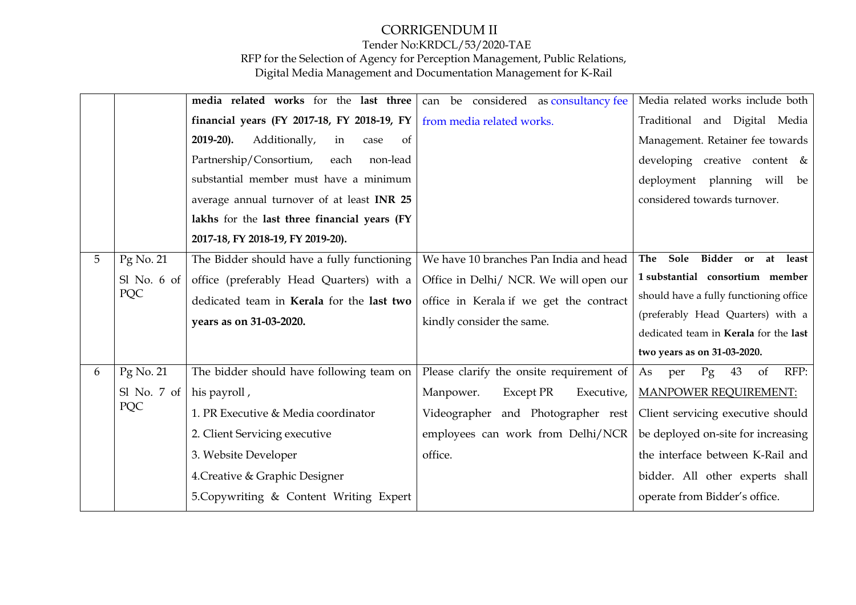|   |                                  | media related works for the last three            | can be considered as consultancy fee     | Media related works include both       |
|---|----------------------------------|---------------------------------------------------|------------------------------------------|----------------------------------------|
|   |                                  | financial years (FY 2017-18, FY 2018-19, FY       | from media related works.                | Traditional and Digital Media          |
|   |                                  | $2019-20$ ).<br>Additionally,<br>of<br>in<br>case |                                          | Management. Retainer fee towards       |
|   |                                  | Partnership/Consortium,<br>each<br>non-lead       |                                          | developing creative content &          |
|   |                                  | substantial member must have a minimum            |                                          | deployment planning will be            |
|   |                                  | average annual turnover of at least INR 25        |                                          | considered towards turnover.           |
|   |                                  | lakhs for the last three financial years (FY      |                                          |                                        |
|   |                                  | 2017-18, FY 2018-19, FY 2019-20).                 |                                          |                                        |
| 5 | Pg No. 21                        | The Bidder should have a fully functioning        | We have 10 branches Pan India and head   | Bidder or at least<br>Sole<br>The      |
|   | $S1$ No. 6 of                    | office (preferably Head Quarters) with a          | Office in Delhi/ NCR. We will open our   | 1 substantial consortium member        |
|   | PQC                              | dedicated team in Kerala for the last two         | office in Kerala if we get the contract  | should have a fully functioning office |
|   |                                  | years as on 31-03-2020.                           | kindly consider the same.                | (preferably Head Quarters) with a      |
|   |                                  |                                                   |                                          | dedicated team in Kerala for the last  |
|   |                                  |                                                   |                                          | two years as on 31-03-2020.            |
| 6 | Pg No. 21                        | The bidder should have following team on          | Please clarify the onsite requirement of | Pg<br>43<br>of<br>RFP:<br>As<br>per    |
|   | Sl No. 7 of $\vert$ his payroll, |                                                   | Manpower.<br>Except PR<br>Executive,     | <b>MANPOWER REQUIREMENT:</b>           |
|   | PQC                              | 1. PR Executive & Media coordinator               | Videographer and Photographer rest       | Client servicing executive should      |
|   |                                  | 2. Client Servicing executive                     | employees can work from Delhi/NCR        | be deployed on-site for increasing     |
|   |                                  | 3. Website Developer                              | office.                                  | the interface between K-Rail and       |
|   |                                  | 4. Creative & Graphic Designer                    |                                          | bidder. All other experts shall        |
|   |                                  |                                                   |                                          |                                        |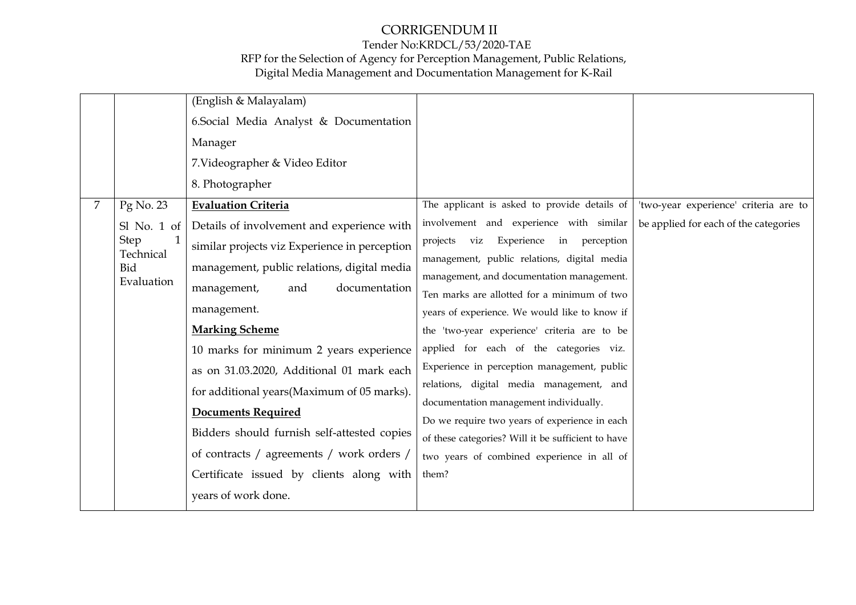## CORRIGENDUM II Tender No:KRDCL/53/2020-TAE RFP for the Selection of Agency for Perception Management, Public Relations,

Digital Media Management and Documentation Management for K-Rail

|   |                         | (English & Malayalam)                         |                                                    |                                       |
|---|-------------------------|-----------------------------------------------|----------------------------------------------------|---------------------------------------|
|   |                         | 6. Social Media Analyst & Documentation       |                                                    |                                       |
|   |                         | Manager                                       |                                                    |                                       |
|   |                         | 7. Videographer & Video Editor                |                                                    |                                       |
|   |                         | 8. Photographer                               |                                                    |                                       |
| 7 | Pg No. 23               | <b>Evaluation Criteria</b>                    | The applicant is asked to provide details of       | 'two-year experience' criteria are to |
|   | $SI$ No. 1 of           | Details of involvement and experience with    | involvement and experience with similar            | be applied for each of the categories |
|   | <b>Step</b>             | similar projects viz Experience in perception | projects viz Experience in perception              |                                       |
|   | Technical<br><b>Bid</b> | management, public relations, digital media   | management, public relations, digital media        |                                       |
|   | Evaluation              | documentation<br>management,<br>and           | management, and documentation management.          |                                       |
|   |                         |                                               | Ten marks are allotted for a minimum of two        |                                       |
|   |                         | management.                                   | years of experience. We would like to know if      |                                       |
|   |                         | <b>Marking Scheme</b>                         | the 'two-year experience' criteria are to be       |                                       |
|   |                         | 10 marks for minimum 2 years experience       | applied for each of the categories viz.            |                                       |
|   |                         | as on 31.03.2020, Additional 01 mark each     | Experience in perception management, public        |                                       |
|   |                         | for additional years(Maximum of 05 marks).    | relations, digital media management, and           |                                       |
|   |                         |                                               | documentation management individually.             |                                       |
|   |                         | <b>Documents Required</b>                     | Do we require two years of experience in each      |                                       |
|   |                         | Bidders should furnish self-attested copies   | of these categories? Will it be sufficient to have |                                       |
|   |                         | of contracts / agreements / work orders /     | two years of combined experience in all of         |                                       |
|   |                         | Certificate issued by clients along with      | them?                                              |                                       |
|   |                         | years of work done.                           |                                                    |                                       |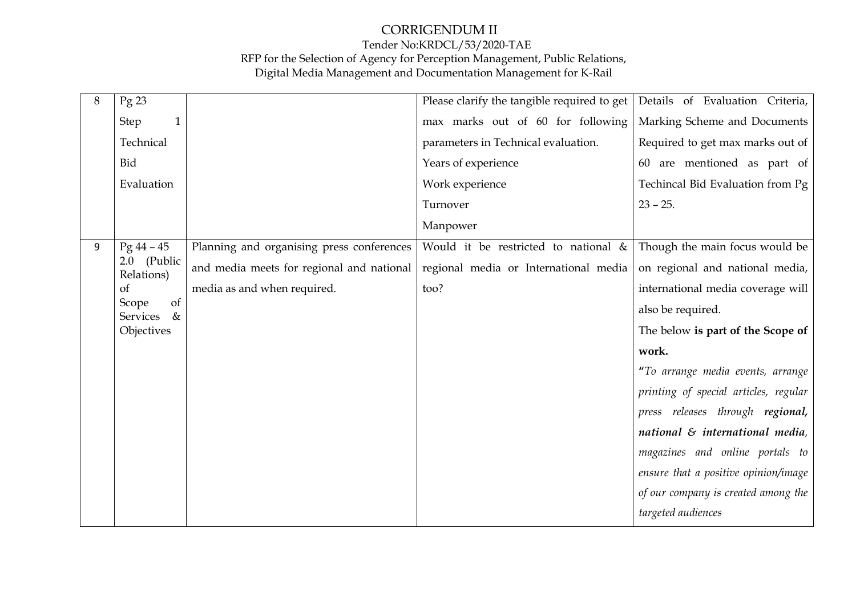| 8 | $Pg$ 23                                |                                           | Please clarify the tangible required to get | Details of Evaluation Criteria,        |
|---|----------------------------------------|-------------------------------------------|---------------------------------------------|----------------------------------------|
|   | <b>Step</b><br>$\mathbf{1}$            |                                           | max marks out of 60 for following           | Marking Scheme and Documents           |
|   | Technical                              |                                           | parameters in Technical evaluation.         | Required to get max marks out of       |
|   | Bid                                    |                                           | Years of experience                         | 60 are mentioned as part of            |
|   | Evaluation                             |                                           | Work experience                             | Techincal Bid Evaluation from Pg       |
|   |                                        |                                           | Turnover                                    | $23 - 25.$                             |
|   |                                        |                                           | Manpower                                    |                                        |
| 9 | $Pg 44 - 45$                           | Planning and organising press conferences | Would it be restricted to national &        | Though the main focus would be         |
|   | 2.0 (Public<br>Relations)              | and media meets for regional and national | regional media or International media       | on regional and national media,        |
|   | <sub>of</sub>                          | media as and when required.               | too?                                        | international media coverage will      |
|   | of<br>Scope<br>$\&$<br><b>Services</b> |                                           |                                             | also be required.                      |
|   | Objectives                             |                                           |                                             | The below is part of the Scope of      |
|   |                                        |                                           |                                             | work.                                  |
|   |                                        |                                           |                                             | "To arrange media events, arrange      |
|   |                                        |                                           |                                             | printing of special articles, regular  |
|   |                                        |                                           |                                             | press releases through regional,       |
|   |                                        |                                           |                                             | national $\delta$ international media, |
|   |                                        |                                           |                                             | magazines and online portals to        |
|   |                                        |                                           |                                             | ensure that a positive opinion/image   |
|   |                                        |                                           |                                             | of our company is created among the    |
|   |                                        |                                           |                                             | targeted audiences                     |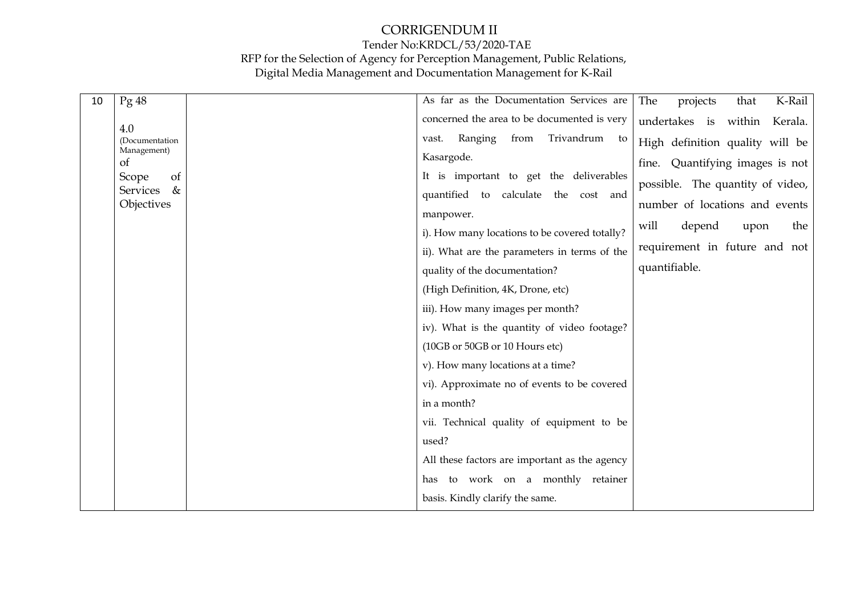| 10 | Pg48              | As far as the Documentation Services are      | The<br>projects<br>K-Rail<br>that  |
|----|-------------------|-----------------------------------------------|------------------------------------|
|    | 4.0               | concerned the area to be documented is very   | undertakes is<br>within<br>Kerala. |
|    | (Documentation    | Trivandrum<br>from<br>Ranging<br>vast.<br>to  | High definition quality will be    |
|    | Management)<br>of | Kasargode.                                    | fine. Quantifying images is not    |
|    | of<br>Scope       | It is important to get the deliverables       | possible. The quantity of video,   |
|    | $\&$<br>Services  | quantified to calculate the cost and          |                                    |
|    | Objectives        | manpower.                                     | number of locations and events     |
|    |                   | i). How many locations to be covered totally? | will<br>depend<br>upon<br>the      |
|    |                   | ii). What are the parameters in terms of the  | requirement in future and not      |
|    |                   | quality of the documentation?                 | quantifiable.                      |
|    |                   | (High Definition, 4K, Drone, etc)             |                                    |
|    |                   | iii). How many images per month?              |                                    |
|    |                   | iv). What is the quantity of video footage?   |                                    |
|    |                   | (10GB or 50GB or 10 Hours etc)                |                                    |
|    |                   | v). How many locations at a time?             |                                    |
|    |                   | vi). Approximate no of events to be covered   |                                    |
|    |                   | in a month?                                   |                                    |
|    |                   | vii. Technical quality of equipment to be     |                                    |
|    |                   | used?                                         |                                    |
|    |                   | All these factors are important as the agency |                                    |
|    |                   | has to work on a monthly retainer             |                                    |
|    |                   | basis. Kindly clarify the same.               |                                    |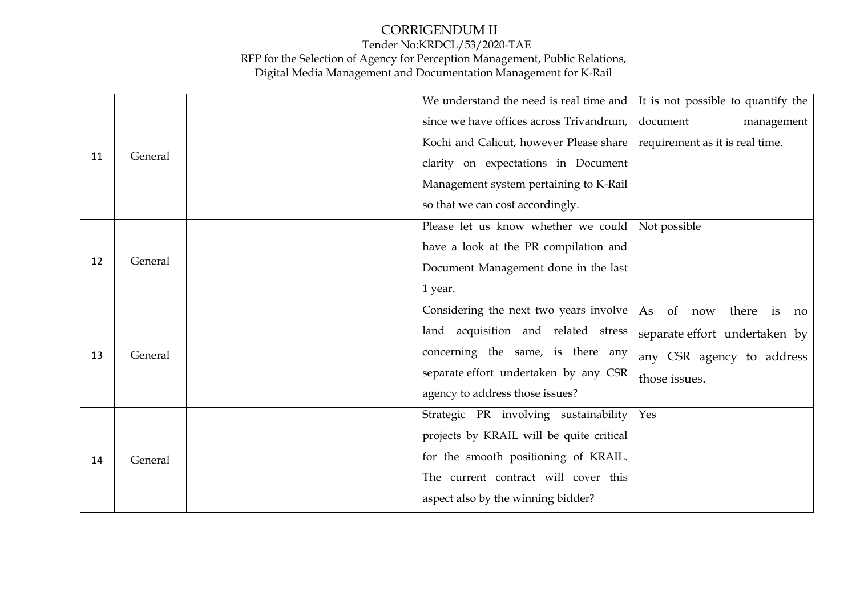|    |         | We understand the need is real time and                                   | It is not possible to quantify the |
|----|---------|---------------------------------------------------------------------------|------------------------------------|
|    |         | since we have offices across Trivandrum,                                  | document<br>management             |
|    |         | Kochi and Calicut, however Please share   requirement as it is real time. |                                    |
| 11 | General | clarity on expectations in Document                                       |                                    |
|    |         | Management system pertaining to K-Rail                                    |                                    |
|    |         | so that we can cost accordingly.                                          |                                    |
|    |         | Please let us know whether we could   Not possible                        |                                    |
|    |         | have a look at the PR compilation and                                     |                                    |
| 12 | General | Document Management done in the last                                      |                                    |
|    |         | 1 year.                                                                   |                                    |
|    |         | Considering the next two years involve                                    | of now<br>As<br>there is<br>no     |
|    | General | land acquisition and related stress                                       | separate effort undertaken by      |
| 13 |         | concerning the same, is there any                                         | any CSR agency to address          |
|    |         | separate effort undertaken by any CSR                                     | those issues.                      |
|    |         | agency to address those issues?                                           |                                    |
|    |         | Strategic PR involving sustainability                                     | Yes                                |
| 14 |         | projects by KRAIL will be quite critical                                  |                                    |
|    | General | for the smooth positioning of KRAIL.                                      |                                    |
|    |         | The current contract will cover this                                      |                                    |
|    |         | aspect also by the winning bidder?                                        |                                    |
|    |         |                                                                           |                                    |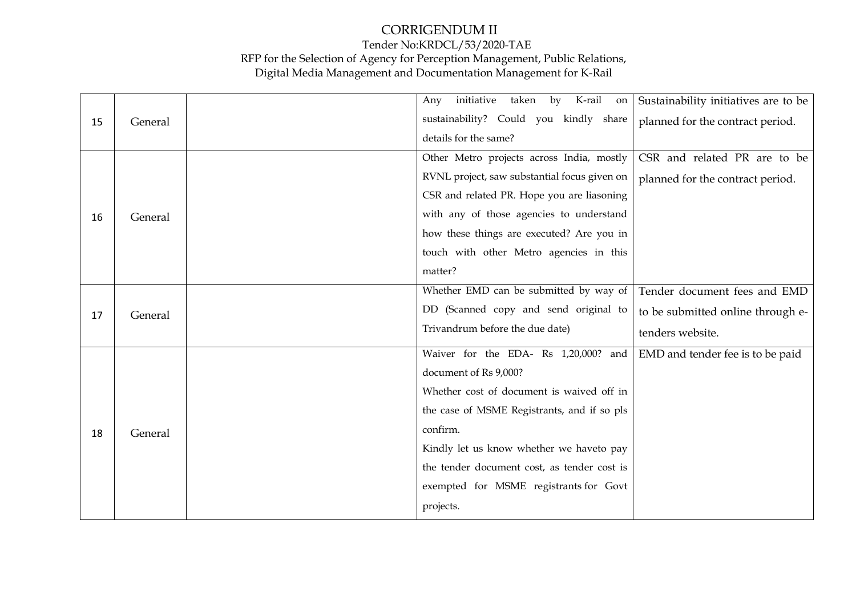|    |         | K-rail<br>initiative<br>taken<br>by<br>Any<br>on | Sustainability initiatives are to be |
|----|---------|--------------------------------------------------|--------------------------------------|
| 15 | General | sustainability? Could you kindly share           | planned for the contract period.     |
|    |         | details for the same?                            |                                      |
|    |         | Other Metro projects across India, mostly        | CSR and related PR are to be         |
|    |         | RVNL project, saw substantial focus given on     | planned for the contract period.     |
|    |         | CSR and related PR. Hope you are liasoning       |                                      |
| 16 | General | with any of those agencies to understand         |                                      |
|    |         | how these things are executed? Are you in        |                                      |
|    |         | touch with other Metro agencies in this          |                                      |
|    |         | matter?                                          |                                      |
|    |         | Whether EMD can be submitted by way of           | Tender document fees and EMD         |
| 17 | General | DD (Scanned copy and send original to            | to be submitted online through e-    |
|    |         | Trivandrum before the due date)                  | tenders website.                     |
|    |         | Waiver for the EDA- Rs 1,20,000? and             | EMD and tender fee is to be paid     |
|    |         | document of Rs 9,000?                            |                                      |
|    | General | Whether cost of document is waived off in        |                                      |
|    |         | the case of MSME Registrants, and if so pls      |                                      |
| 18 |         | confirm.                                         |                                      |
|    |         | Kindly let us know whether we haveto pay         |                                      |
|    |         | the tender document cost, as tender cost is      |                                      |
|    |         | exempted for MSME registrants for Govt           |                                      |
|    |         | projects.                                        |                                      |